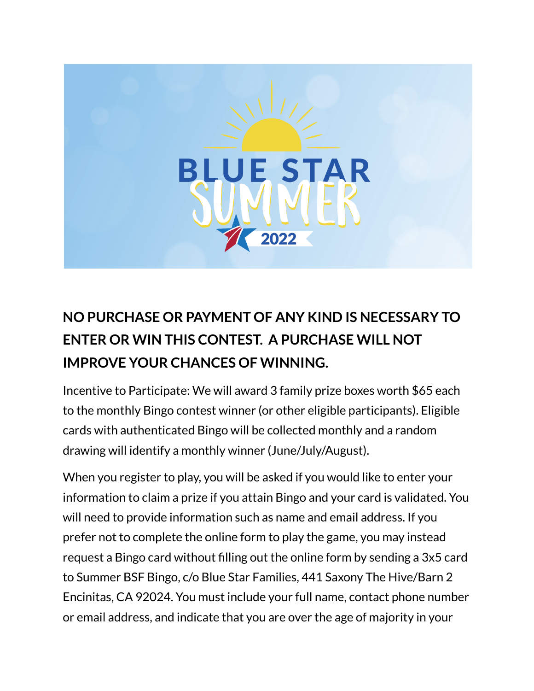

## **NO PURCHASE OR PAYMENT OF ANY KIND IS NECESSARY TO ENTER OR WIN THIS CONTEST. A PURCHASE WILL NOT IMPROVE YOUR CHANCES OF WINNING.**

Incentive to Participate: We will award 3 family prize boxes worth \$65 each to the monthly Bingo contest winner (or other eligible participants). Eligible cards with authenticated Bingo will be collected monthly and a random drawing will identify a monthly winner (June/July/August).

When you register to play, you will be asked if you would like to enter your information to claim a prize if you attain Bingo and your card is validated. You will need to provide information such as name and email address. If you prefer not to complete the online form to play the game, you may instead request a Bingo card without filling out the online form by sending a 3x5 card to Summer BSF Bingo, c/o Blue Star Families, 441 Saxony The Hive/Barn 2 Encinitas, CA 92024. You must include your full name, contact phone number or email address, and indicate that you are over the age of majority in your